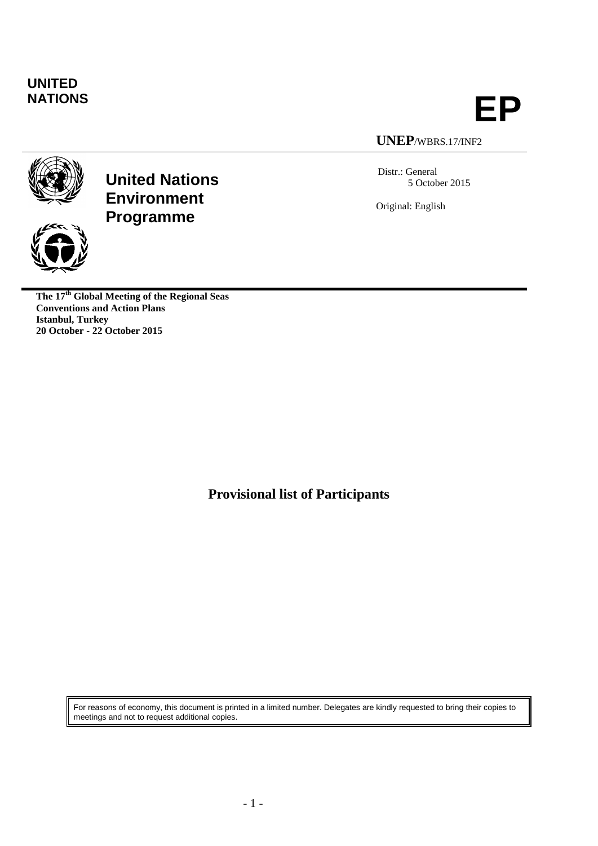## **UNITED**



**UNEP**/WBRS.17/INF2

Distr.: General 5 October 2015

Original: English





**The 17th Global Meeting of the Regional Seas Conventions and Action Plans Istanbul, Turkey 20 October - 22 October 2015**

**Provisional list of Participants**

For reasons of economy, this document is printed in a limited number. Delegates are kindly requested to bring their copies to meetings and not to request additional copies.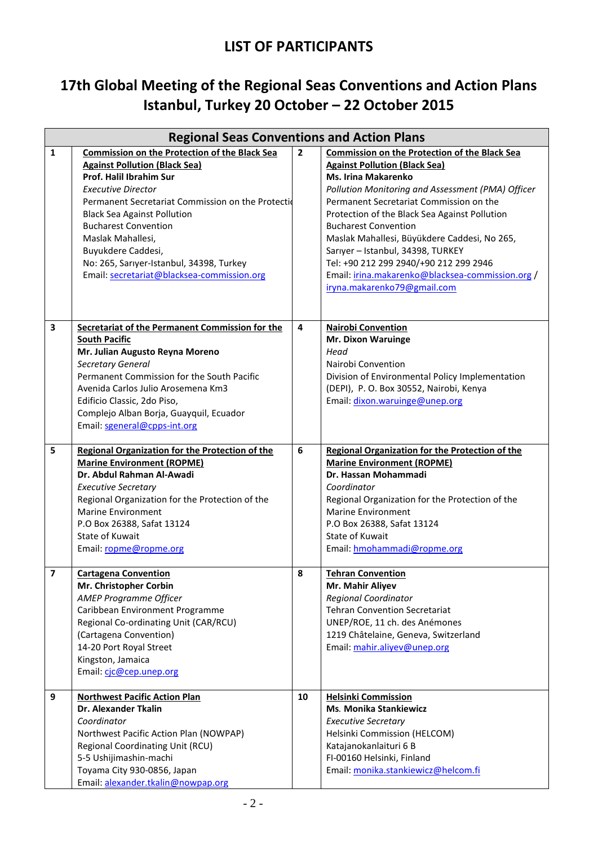## **17th Global Meeting of the Regional Seas Conventions and Action Plans Istanbul, Turkey 20 October – 22 October 2015**

|                         | <b>Regional Seas Conventions and Action Plans</b>                                                                                                                                                                                                                                                                                                                                                                   |                |                                                                                                                                                                                                                                                                                                                                                                                                                                                                                               |  |  |
|-------------------------|---------------------------------------------------------------------------------------------------------------------------------------------------------------------------------------------------------------------------------------------------------------------------------------------------------------------------------------------------------------------------------------------------------------------|----------------|-----------------------------------------------------------------------------------------------------------------------------------------------------------------------------------------------------------------------------------------------------------------------------------------------------------------------------------------------------------------------------------------------------------------------------------------------------------------------------------------------|--|--|
| 1                       | <b>Commission on the Protection of the Black Sea</b><br><b>Against Pollution (Black Sea)</b><br>Prof. Halil Ibrahim Sur<br><b>Executive Director</b><br>Permanent Secretariat Commission on the Protectid<br><b>Black Sea Against Pollution</b><br><b>Bucharest Convention</b><br>Maslak Mahallesi,<br>Buyukdere Caddesi,<br>No: 265, Sarıyer-Istanbul, 34398, Turkey<br>Email: secretariat@blacksea-commission.org | $\overline{2}$ | <b>Commission on the Protection of the Black Sea</b><br><b>Against Pollution (Black Sea)</b><br><b>Ms. Irina Makarenko</b><br>Pollution Monitoring and Assessment (PMA) Officer<br>Permanent Secretariat Commission on the<br>Protection of the Black Sea Against Pollution<br><b>Bucharest Convention</b><br>Maslak Mahallesi, Büyükdere Caddesi, No 265,<br>Sarıyer - Istanbul, 34398, TURKEY<br>Tel: +90 212 299 2940/+90 212 299 2946<br>Email: irina.makarenko@blacksea-commission.org / |  |  |
| 3                       | Secretariat of the Permanent Commission for the<br><b>South Pacific</b><br>Mr. Julian Augusto Reyna Moreno<br>Secretary General<br>Permanent Commission for the South Pacific<br>Avenida Carlos Julio Arosemena Km3<br>Edificio Classic, 2do Piso,<br>Complejo Alban Borja, Guayquil, Ecuador<br>Email: sgeneral@cpps-int.org                                                                                       | 4              | iryna.makarenko79@gmail.com<br><b>Nairobi Convention</b><br>Mr. Dixon Waruinge<br>Head<br>Nairobi Convention<br>Division of Environmental Policy Implementation<br>(DEPI), P. O. Box 30552, Nairobi, Kenya<br>Email: dixon.waruinge@unep.org                                                                                                                                                                                                                                                  |  |  |
| 5                       | <b>Regional Organization for the Protection of the</b><br><b>Marine Environment (ROPME)</b><br>Dr. Abdul Rahman Al-Awadi<br><b>Executive Secretary</b><br>Regional Organization for the Protection of the<br><b>Marine Environment</b><br>P.O Box 26388, Safat 13124<br>State of Kuwait<br>Email: ropme@ropme.org                                                                                                   | 6              | <b>Regional Organization for the Protection of the</b><br><b>Marine Environment (ROPME)</b><br>Dr. Hassan Mohammadi<br>Coordinator<br>Regional Organization for the Protection of the<br><b>Marine Environment</b><br>P.O Box 26388, Safat 13124<br>State of Kuwait<br>Email: hmohammadi@ropme.org                                                                                                                                                                                            |  |  |
| $\overline{\mathbf{z}}$ | <b>Cartagena Convention</b><br>Mr. Christopher Corbin<br>AMEP Programme Officer<br>Caribbean Environment Programme<br>Regional Co-ordinating Unit (CAR/RCU)<br>(Cartagena Convention)<br>14-20 Port Royal Street<br>Kingston, Jamaica<br>Email: cjc@cep.unep.org                                                                                                                                                    | 8              | <b>Tehran Convention</b><br>Mr. Mahir Aliyev<br><b>Regional Coordinator</b><br><b>Tehran Convention Secretariat</b><br>UNEP/ROE, 11 ch. des Anémones<br>1219 Châtelaine, Geneva, Switzerland<br>Email: mahir.aliyev@unep.org                                                                                                                                                                                                                                                                  |  |  |
| 9                       | <b>Northwest Pacific Action Plan</b><br><b>Dr. Alexander Tkalin</b><br>Coordinator<br>Northwest Pacific Action Plan (NOWPAP)<br>Regional Coordinating Unit (RCU)<br>5-5 Ushijimashin-machi<br>Toyama City 930-0856, Japan<br>Email: alexander.tkalin@nowpap.org                                                                                                                                                     | 10             | <b>Helsinki Commission</b><br><b>Ms. Monika Stankiewicz</b><br><b>Executive Secretary</b><br>Helsinki Commission (HELCOM)<br>Katajanokanlaituri 6 B<br>FI-00160 Helsinki, Finland<br>Email: monika.stankiewicz@helcom.fi                                                                                                                                                                                                                                                                      |  |  |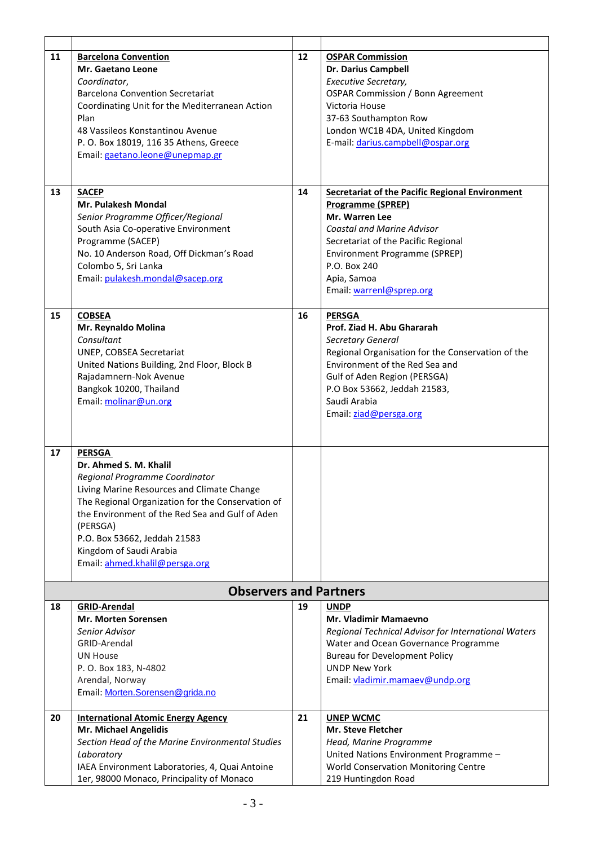| 11 | <b>Barcelona Convention</b><br>Mr. Gaetano Leone<br>Coordinator,<br><b>Barcelona Convention Secretariat</b><br>Coordinating Unit for the Mediterranean Action<br>Plan<br>48 Vassileos Konstantinou Avenue<br>P. O. Box 18019, 116 35 Athens, Greece<br>Email: gaetano.leone@unepmap.gr                                                   | 12 | <b>OSPAR Commission</b><br><b>Dr. Darius Campbell</b><br>Executive Secretary,<br><b>OSPAR Commission / Bonn Agreement</b><br>Victoria House<br>37-63 Southampton Row<br>London WC1B 4DA, United Kingdom<br>E-mail: darius.campbell@ospar.org                                 |  |  |  |
|----|------------------------------------------------------------------------------------------------------------------------------------------------------------------------------------------------------------------------------------------------------------------------------------------------------------------------------------------|----|------------------------------------------------------------------------------------------------------------------------------------------------------------------------------------------------------------------------------------------------------------------------------|--|--|--|
| 13 | <b>SACEP</b><br>Mr. Pulakesh Mondal<br>Senior Programme Officer/Regional<br>South Asia Co-operative Environment<br>Programme (SACEP)<br>No. 10 Anderson Road, Off Dickman's Road<br>Colombo 5, Sri Lanka<br>Email: pulakesh.mondal@sacep.org                                                                                             | 14 | <b>Secretariat of the Pacific Regional Environment</b><br><b>Programme (SPREP)</b><br>Mr. Warren Lee<br><b>Coastal and Marine Advisor</b><br>Secretariat of the Pacific Regional<br>Environment Programme (SPREP)<br>P.O. Box 240<br>Apia, Samoa<br>Email: warrenl@sprep.org |  |  |  |
| 15 | <b>COBSEA</b><br>Mr. Reynaldo Molina<br>Consultant<br>UNEP, COBSEA Secretariat<br>United Nations Building, 2nd Floor, Block B<br>Rajadamnern-Nok Avenue<br>Bangkok 10200, Thailand<br>Email: molinar@un.org                                                                                                                              | 16 | <b>PERSGA</b><br>Prof. Ziad H. Abu Ghararah<br><b>Secretary General</b><br>Regional Organisation for the Conservation of the<br>Environment of the Red Sea and<br>Gulf of Aden Region (PERSGA)<br>P.O Box 53662, Jeddah 21583,<br>Saudi Arabia<br>Email: ziad@persga.org     |  |  |  |
| 17 | <b>PERSGA</b><br>Dr. Ahmed S. M. Khalil<br>Regional Programme Coordinator<br>Living Marine Resources and Climate Change<br>The Regional Organization for the Conservation of<br>the Environment of the Red Sea and Gulf of Aden<br>(PERSGA)<br>P.O. Box 53662, Jeddah 21583<br>Kingdom of Saudi Arabia<br>Email: ahmed.khalil@persga.org |    |                                                                                                                                                                                                                                                                              |  |  |  |
|    | <b>Observers and Partners</b>                                                                                                                                                                                                                                                                                                            |    |                                                                                                                                                                                                                                                                              |  |  |  |
| 18 | <b>GRID-Arendal</b><br><b>Mr. Morten Sorensen</b><br>Senior Advisor<br>GRID-Arendal<br>UN House<br>P. O. Box 183, N-4802<br>Arendal, Norway<br>Email: Morten.Sorensen@grida.no                                                                                                                                                           | 19 | <b>UNDP</b><br><b>Mr. Vladimir Mamaevno</b><br>Regional Technical Advisor for International Waters<br>Water and Ocean Governance Programme<br><b>Bureau for Development Policy</b><br><b>UNDP New York</b><br>Email: vladimir.mamaev@undp.org                                |  |  |  |
| 20 | <b>International Atomic Energy Agency</b><br>Mr. Michael Angelidis<br>Section Head of the Marine Environmental Studies<br>Laboratory<br>IAEA Environment Laboratories, 4, Quai Antoine<br>1er, 98000 Monaco, Principality of Monaco                                                                                                      | 21 | <b>UNEP WCMC</b><br><b>Mr. Steve Fletcher</b><br>Head, Marine Programme<br>United Nations Environment Programme -<br>World Conservation Monitoring Centre<br>219 Huntingdon Road                                                                                             |  |  |  |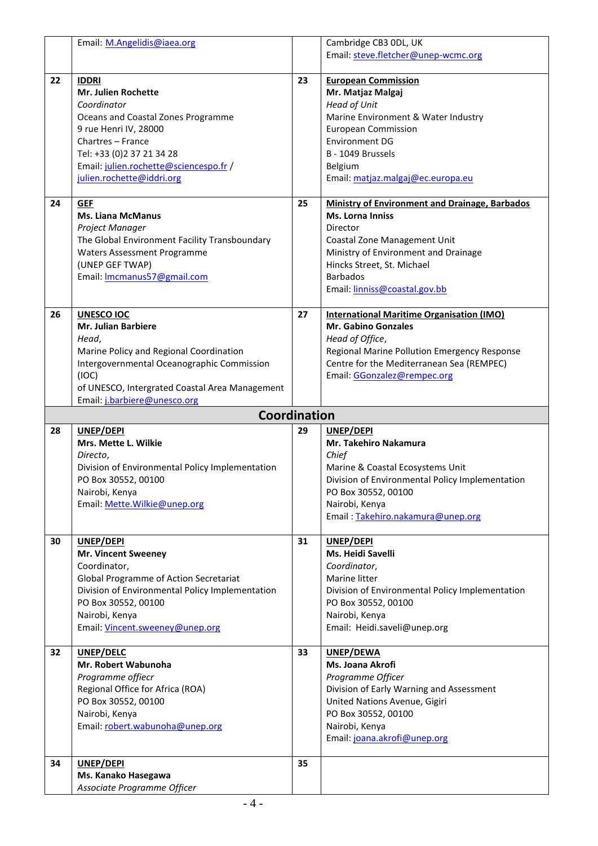|    | Email: M.Angelidis@iaea.org                                                                                                                                                                                                                       |    | Cambridge CB3 ODL, UK                                                                                                                                                                                                                                  |
|----|---------------------------------------------------------------------------------------------------------------------------------------------------------------------------------------------------------------------------------------------------|----|--------------------------------------------------------------------------------------------------------------------------------------------------------------------------------------------------------------------------------------------------------|
|    |                                                                                                                                                                                                                                                   |    | Email: steve.fletcher@unep-wcmc.org                                                                                                                                                                                                                    |
| 22 | <b>IDDRI</b><br><b>Mr. Julien Rochette</b><br>Coordinator<br>Oceans and Coastal Zones Programme<br>9 rue Henri IV, 28000<br>Chartres - France<br>Tel: +33 (0)2 37 21 34 28<br>Email: julien.rochette@sciencespo.fr /<br>julien.rochette@iddri.org | 23 | <b>European Commission</b><br>Mr. Matjaz Malgaj<br>Head of Unit<br>Marine Environment & Water Industry<br><b>European Commission</b><br><b>Environment DG</b><br>B - 1049 Brussels<br>Belgium<br>Email: matjaz.malgaj@ec.europa.eu                     |
| 24 | <b>GEF</b><br><b>Ms. Liana McManus</b><br>Project Manager<br>The Global Environment Facility Transboundary<br><b>Waters Assessment Programme</b><br>(UNEP GEF TWAP)<br>Email: Imcmanus57@gmail.com                                                | 25 | <b>Ministry of Environment and Drainage, Barbados</b><br><b>Ms. Lorna Inniss</b><br>Director<br>Coastal Zone Management Unit<br>Ministry of Environment and Drainage<br>Hincks Street, St. Michael<br><b>Barbados</b><br>Email: linniss@coastal.gov.bb |
| 26 | UNESCO IOC<br><b>Mr. Julian Barbiere</b><br>Head,<br>Marine Policy and Regional Coordination<br>Intergovernmental Oceanographic Commission<br>(IOC)<br>of UNESCO, Intergrated Coastal Area Management<br>Email: j.barbiere@unesco.org             | 27 | <b>International Maritime Organisation (IMO)</b><br>Mr. Gabino Gonzales<br>Head of Office,<br>Regional Marine Pollution Emergency Response<br>Centre for the Mediterranean Sea (REMPEC)<br>Email: GGonzalez@rempec.org                                 |
|    | <b>Coordination</b>                                                                                                                                                                                                                               |    |                                                                                                                                                                                                                                                        |
| 28 | UNEP/DEPI<br>Mrs. Mette L. Wilkie<br>Directo,<br>Division of Environmental Policy Implementation<br>PO Box 30552, 00100<br>Nairobi, Kenya<br>Email: Mette. Wilkie@unep.org                                                                        | 29 | UNEP/DEPI<br><b>Mr. Takehiro Nakamura</b><br>Chief<br>Marine & Coastal Ecosystems Unit<br>Division of Environmental Policy Implementation<br>PO Box 30552, 00100<br>Nairobi, Kenya<br>Email: Takehiro.nakamura@unep.org                                |
| 30 | UNEP/DEPI<br><b>Mr. Vincent Sweeney</b><br>Coordinator,<br>Global Programme of Action Secretariat<br>Division of Environmental Policy Implementation<br>PO Box 30552, 00100<br>Nairobi, Kenya<br>Email: Vincent.sweeney@unep.org                  | 31 | UNEP/DEPI<br>Ms. Heidi Savelli<br>Coordinator,<br>Marine litter<br>Division of Environmental Policy Implementation<br>PO Box 30552, 00100<br>Nairobi, Kenya<br>Email: Heidi.saveli@unep.org                                                            |
| 32 | UNEP/DELC<br>Mr. Robert Wabunoha<br>Programme offiecr<br>Regional Office for Africa (ROA)<br>PO Box 30552, 00100<br>Nairobi, Kenya<br>Email: robert.wabunoha@unep.org                                                                             | 33 | <b>UNEP/DEWA</b><br>Ms. Joana Akrofi<br>Programme Officer<br>Division of Early Warning and Assessment<br>United Nations Avenue, Gigiri<br>PO Box 30552, 00100<br>Nairobi, Kenya<br>Email: joana.akrofi@unep.org                                        |
| 34 | UNEP/DEPI<br>Ms. Kanako Hasegawa<br>Associate Programme Officer                                                                                                                                                                                   | 35 |                                                                                                                                                                                                                                                        |